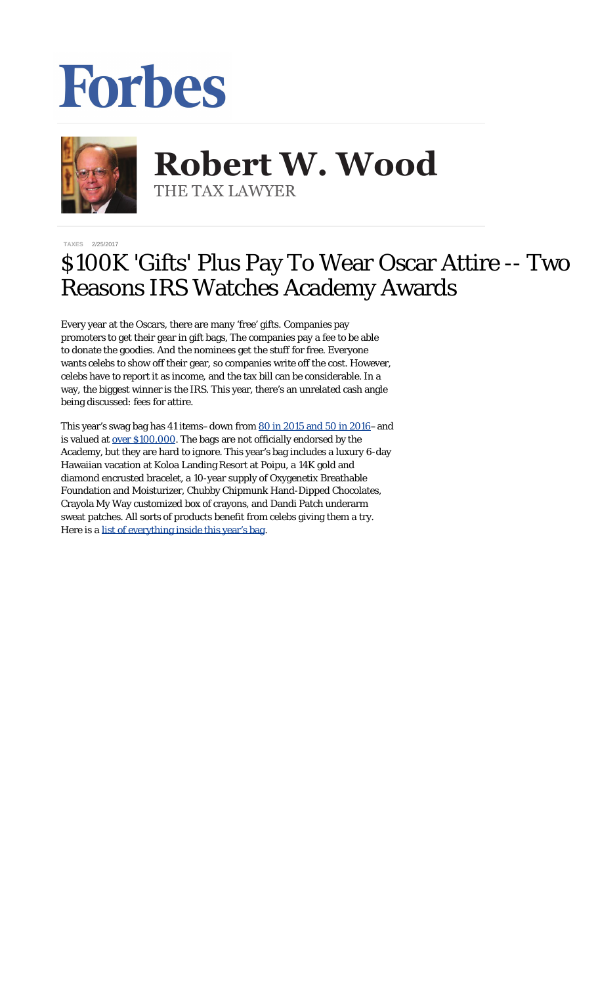## Forbes



## **Robert W. Wood Robert W. Wood** THE TAX LAWYER THE TAX LAWYER

**[TAXES](https://www.forbes.com/taxes)** 2/25/2017

## \$100K 'Gifts' Plus Pay To Wear Oscar Attire -- Two Reasons IRS Watches Academy Awards

Every year at the Oscars, there are many 'free' gifts. Companies pay promoters to get their gear in gift bags, The companies pay a fee to be able to donate the goodies. And the nominees get the stuff for free. Everyone wants celebs to show off their gear, so companies write off the cost. However, celebs have to report it as income, and the tax bill can be considerable. In a way, the biggest winner is the IRS. This year, there's an unrelated cash angle being discussed: fees for attire.

This year's swag bag has 41 items-down from [80 in 2015 and 50 in 2016](http://www.usatoday.com/story/life/2017/02/17/quirkiest-items-everyone-wins-gift-bags-oscar-nominees/98000456/)-and is valued at <u>over \$100,000</u>. The bags are not officially endorsed by the Academy, but they are hard to ignore. This year's bag includes a luxury 6-day Hawaiian vacation at Koloa Landing Resort at Poipu, a 14K gold and diamond encrusted bracelet, a 10-year supply of Oxygenetix Breathable Foundation and Moisturizer, Chubby Chipmunk Hand-Dipped Chocolates, Crayola My Way customized box of crayons, and Dandi Patch underarm sweat patches. All sorts of products benefit from celebs giving them a try. Here is a [list of everything inside this year's bag](http://finance.yahoo.com/news/everyone-wins-hollywoods-biggest-night-162400723.html).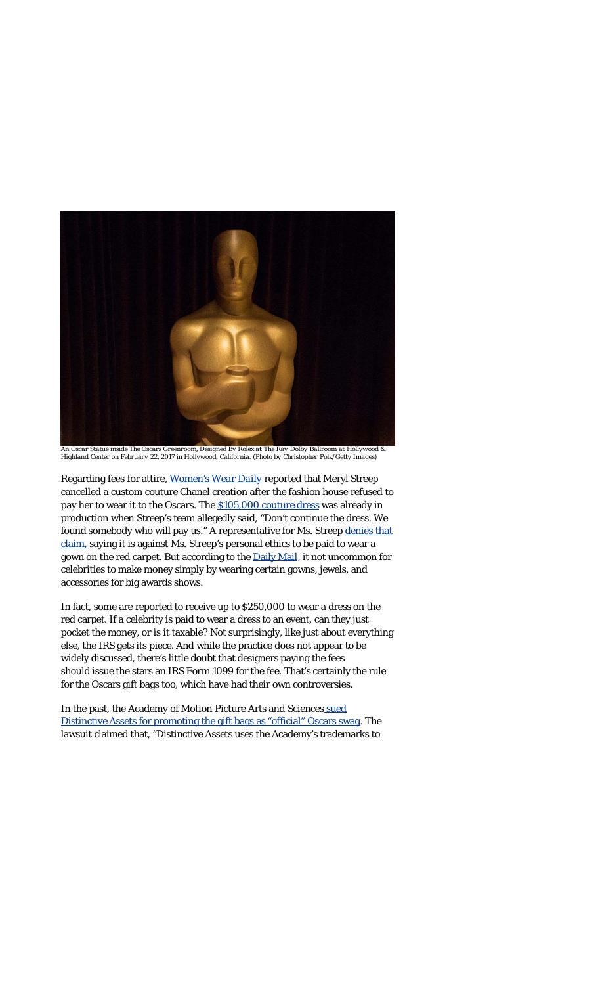

*An Oscar Statue inside The Oscars Greenroom, Designed By Rolex at The Ray Dolby Ballroom at Hollywood & Highland Center on February 22, 2017 in Hollywood, California. (Photo by Christopher Polk/Getty Images)*

Regarding fees for attire, *[Women's Wear Daily](http://wwd.com/fashion-news/fashion-scoops/karl-lagerfeld-chanel-meryl-streep-passed-on-oscar-dress-when-chanel-oscar-dress-10817502/)* reported that Meryl Streep cancelled a custom couture Chanel creation after the fashion house refused to pay her to wear it to the Oscars. The [\\$105,000 couture dress](http://www.dailymail.co.uk/femail/article-4256762/Karl-Lagerfeld-says-Meryl-Streep-canceled-Oscars-dress.html) was already in production when Streep's team allegedly said, "Don't continue the dress. We found somebody who will pay us." A representative for Ms. Streep [denies that](http://www.hollywoodreporter.com/news/meryl-street-sets-record-straight-karl-lagerfelds-pay-wear-comments-979334) [claim,](http://www.hollywoodreporter.com/news/meryl-street-sets-record-straight-karl-lagerfelds-pay-wear-comments-979334) saying it is against Ms. Streep's personal ethics to be paid to wear a gown on the red carpet. But according to the [Daily Mail,](http://www.dailymail.co.uk/femail/article-4256762/Karl-Lagerfeld-says-Meryl-Streep-canceled-Oscars-dress.html) it not uncommon for celebrities to make money simply by wearing certain gowns, jewels, and accessories for big awards shows.

In fact, some are reported to receive up to \$250,000 to wear a dress on the red carpet. If a celebrity is paid to wear a dress to an event, can they just pocket the money, or is it taxable? Not surprisingly, like just about everything else, the IRS gets its piece. And while the practice does not appear to be widely discussed, there's little doubt that designers paying the fees should issue the stars an IRS Form 1099 for the fee. That's certainly the rule for the Oscars gift bags too, which have had their own controversies.

In the past, the Academy of Motion Picture Arts and Sciences [sued](http://www.hollywoodreporter.com/thr-esq/academy-sues-oscars-gift-bag-866610) Distinctive Assets for [promoting the gift bags as "official" Oscars swag](http://www.hollywoodreporter.com/thr-esq/academy-sues-oscars-gift-bag-866610). The lawsuit claimed that, "Distinctive Assets uses the Academy's trademarks to